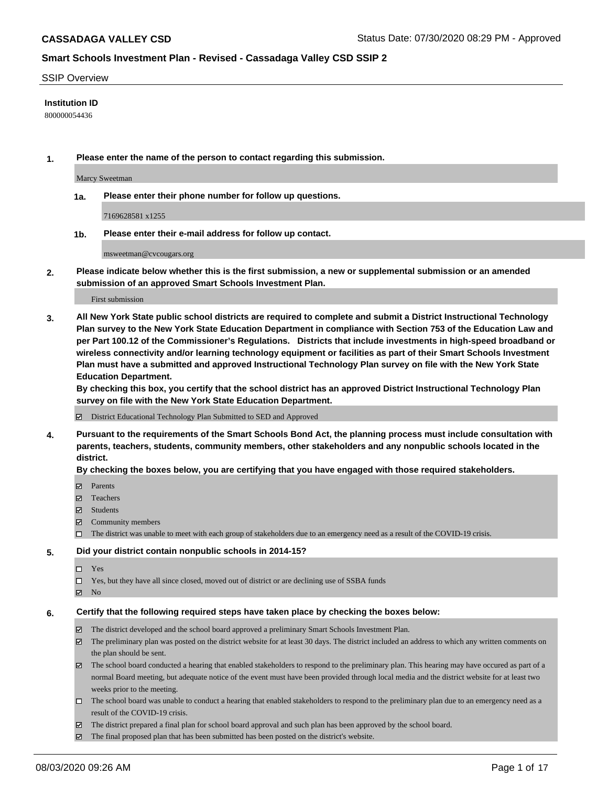#### SSIP Overview

#### **Institution ID**

800000054436

**1. Please enter the name of the person to contact regarding this submission.**

Marcy Sweetman

**1a. Please enter their phone number for follow up questions.**

7169628581 x1255

**1b. Please enter their e-mail address for follow up contact.**

msweetman@cvcougars.org

**2. Please indicate below whether this is the first submission, a new or supplemental submission or an amended submission of an approved Smart Schools Investment Plan.**

#### First submission

**3. All New York State public school districts are required to complete and submit a District Instructional Technology Plan survey to the New York State Education Department in compliance with Section 753 of the Education Law and per Part 100.12 of the Commissioner's Regulations. Districts that include investments in high-speed broadband or wireless connectivity and/or learning technology equipment or facilities as part of their Smart Schools Investment Plan must have a submitted and approved Instructional Technology Plan survey on file with the New York State Education Department.** 

**By checking this box, you certify that the school district has an approved District Instructional Technology Plan survey on file with the New York State Education Department.**

District Educational Technology Plan Submitted to SED and Approved

**4. Pursuant to the requirements of the Smart Schools Bond Act, the planning process must include consultation with parents, teachers, students, community members, other stakeholders and any nonpublic schools located in the district.** 

#### **By checking the boxes below, you are certifying that you have engaged with those required stakeholders.**

- **□** Parents
- Teachers
- Students
- $\boxtimes$  Community members
- The district was unable to meet with each group of stakeholders due to an emergency need as a result of the COVID-19 crisis.

#### **5. Did your district contain nonpublic schools in 2014-15?**

- $\neg$  Yes
- Yes, but they have all since closed, moved out of district or are declining use of SSBA funds
- **Z** No

#### **6. Certify that the following required steps have taken place by checking the boxes below:**

- The district developed and the school board approved a preliminary Smart Schools Investment Plan.
- $\boxtimes$  The preliminary plan was posted on the district website for at least 30 days. The district included an address to which any written comments on the plan should be sent.
- The school board conducted a hearing that enabled stakeholders to respond to the preliminary plan. This hearing may have occured as part of a normal Board meeting, but adequate notice of the event must have been provided through local media and the district website for at least two weeks prior to the meeting.
- The school board was unable to conduct a hearing that enabled stakeholders to respond to the preliminary plan due to an emergency need as a result of the COVID-19 crisis.
- The district prepared a final plan for school board approval and such plan has been approved by the school board.
- $\boxtimes$  The final proposed plan that has been submitted has been posted on the district's website.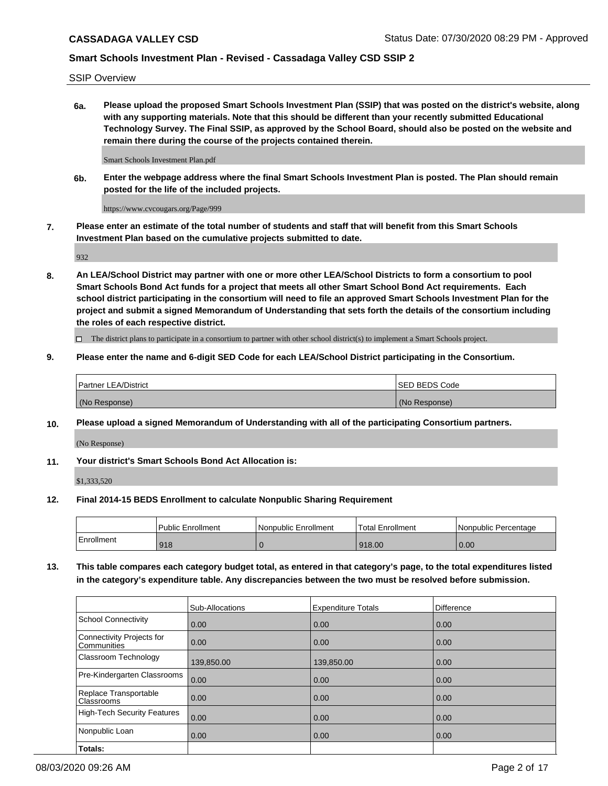SSIP Overview

**6a. Please upload the proposed Smart Schools Investment Plan (SSIP) that was posted on the district's website, along with any supporting materials. Note that this should be different than your recently submitted Educational Technology Survey. The Final SSIP, as approved by the School Board, should also be posted on the website and remain there during the course of the projects contained therein.**

Smart Schools Investment Plan.pdf

**6b. Enter the webpage address where the final Smart Schools Investment Plan is posted. The Plan should remain posted for the life of the included projects.**

https://www.cvcougars.org/Page/999

**7. Please enter an estimate of the total number of students and staff that will benefit from this Smart Schools Investment Plan based on the cumulative projects submitted to date.**

932

**8. An LEA/School District may partner with one or more other LEA/School Districts to form a consortium to pool Smart Schools Bond Act funds for a project that meets all other Smart School Bond Act requirements. Each school district participating in the consortium will need to file an approved Smart Schools Investment Plan for the project and submit a signed Memorandum of Understanding that sets forth the details of the consortium including the roles of each respective district.**

 $\Box$  The district plans to participate in a consortium to partner with other school district(s) to implement a Smart Schools project.

## **9. Please enter the name and 6-digit SED Code for each LEA/School District participating in the Consortium.**

| <b>Partner LEA/District</b> | ISED BEDS Code |
|-----------------------------|----------------|
| (No Response)               | (No Response)  |

## **10. Please upload a signed Memorandum of Understanding with all of the participating Consortium partners.**

(No Response)

**11. Your district's Smart Schools Bond Act Allocation is:**

\$1,333,520

#### **12. Final 2014-15 BEDS Enrollment to calculate Nonpublic Sharing Requirement**

|            | Public Enrollment | Nonpublic Enrollment | Total Enrollment | I Nonpublic Percentage |
|------------|-------------------|----------------------|------------------|------------------------|
| Enrollment | 918               |                      | 918.00           | 0.00                   |

**13. This table compares each category budget total, as entered in that category's page, to the total expenditures listed in the category's expenditure table. Any discrepancies between the two must be resolved before submission.**

|                                          | Sub-Allocations | <b>Expenditure Totals</b> | <b>Difference</b> |
|------------------------------------------|-----------------|---------------------------|-------------------|
| <b>School Connectivity</b>               | 0.00            | 0.00                      | 0.00              |
| Connectivity Projects for<br>Communities | 0.00            | 0.00                      | 0.00              |
| Classroom Technology                     | 139,850.00      | 139,850.00                | 0.00              |
| Pre-Kindergarten Classrooms              | 0.00            | 0.00                      | 0.00              |
| Replace Transportable<br>Classrooms      | 0.00            | 0.00                      | 0.00              |
| <b>High-Tech Security Features</b>       | 0.00            | 0.00                      | 0.00              |
| Nonpublic Loan                           | 0.00            | 0.00                      | 0.00              |
| Totals:                                  |                 |                           |                   |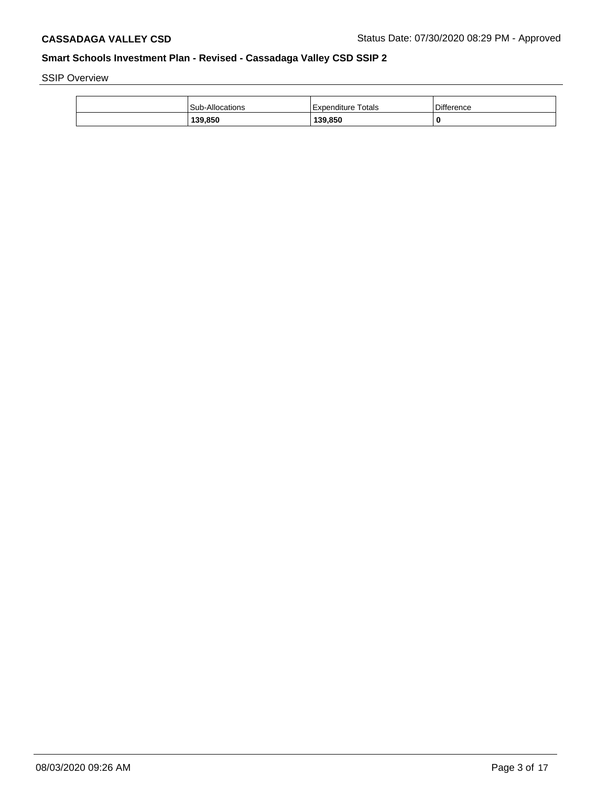SSIP Overview

| <b>Sub-Allocations</b> | Expenditure Totals | <b>Difference</b> |
|------------------------|--------------------|-------------------|
| 139,850                | 139,850            |                   |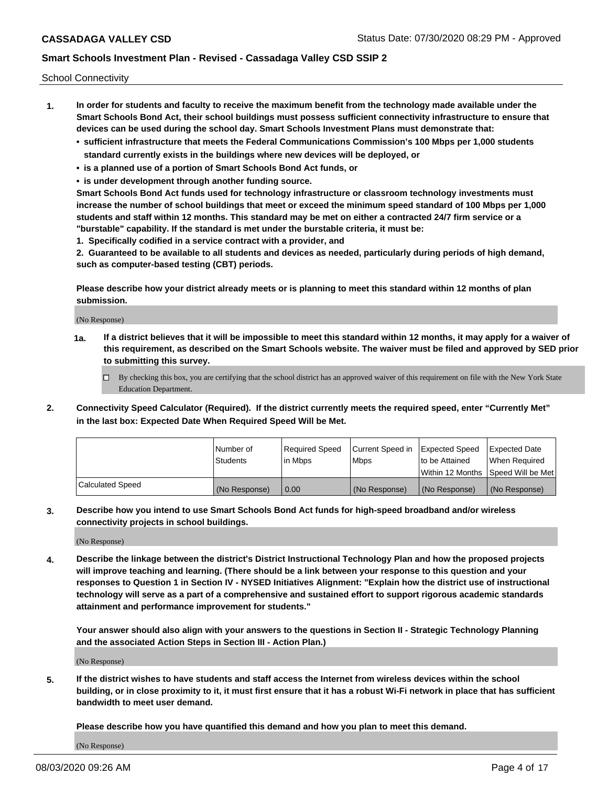School Connectivity

- **1. In order for students and faculty to receive the maximum benefit from the technology made available under the Smart Schools Bond Act, their school buildings must possess sufficient connectivity infrastructure to ensure that devices can be used during the school day. Smart Schools Investment Plans must demonstrate that:**
	- **• sufficient infrastructure that meets the Federal Communications Commission's 100 Mbps per 1,000 students standard currently exists in the buildings where new devices will be deployed, or**
	- **• is a planned use of a portion of Smart Schools Bond Act funds, or**
	- **• is under development through another funding source.**

**Smart Schools Bond Act funds used for technology infrastructure or classroom technology investments must increase the number of school buildings that meet or exceed the minimum speed standard of 100 Mbps per 1,000 students and staff within 12 months. This standard may be met on either a contracted 24/7 firm service or a "burstable" capability. If the standard is met under the burstable criteria, it must be:**

**1. Specifically codified in a service contract with a provider, and**

**2. Guaranteed to be available to all students and devices as needed, particularly during periods of high demand, such as computer-based testing (CBT) periods.**

**Please describe how your district already meets or is planning to meet this standard within 12 months of plan submission.**

(No Response)

**1a. If a district believes that it will be impossible to meet this standard within 12 months, it may apply for a waiver of this requirement, as described on the Smart Schools website. The waiver must be filed and approved by SED prior to submitting this survey.**

 $\Box$  By checking this box, you are certifying that the school district has an approved waiver of this requirement on file with the New York State Education Department.

**2. Connectivity Speed Calculator (Required). If the district currently meets the required speed, enter "Currently Met" in the last box: Expected Date When Required Speed Will be Met.**

|                  | l Number of     | Reauired Speed | Current Speed in | Expected Speed | Expected Date                       |
|------------------|-----------------|----------------|------------------|----------------|-------------------------------------|
|                  | <b>Students</b> | l in Mbps      | l Mbps           | to be Attained | When Required                       |
|                  |                 |                |                  |                | Within 12 Months ISpeed Will be Met |
| Calculated Speed | (No Response)   | 0.00           | (No Response)    | (No Response)  | (No Response)                       |

**3. Describe how you intend to use Smart Schools Bond Act funds for high-speed broadband and/or wireless connectivity projects in school buildings.**

(No Response)

**4. Describe the linkage between the district's District Instructional Technology Plan and how the proposed projects will improve teaching and learning. (There should be a link between your response to this question and your responses to Question 1 in Section IV - NYSED Initiatives Alignment: "Explain how the district use of instructional technology will serve as a part of a comprehensive and sustained effort to support rigorous academic standards attainment and performance improvement for students."** 

**Your answer should also align with your answers to the questions in Section II - Strategic Technology Planning and the associated Action Steps in Section III - Action Plan.)**

(No Response)

**5. If the district wishes to have students and staff access the Internet from wireless devices within the school building, or in close proximity to it, it must first ensure that it has a robust Wi-Fi network in place that has sufficient bandwidth to meet user demand.**

**Please describe how you have quantified this demand and how you plan to meet this demand.**

(No Response)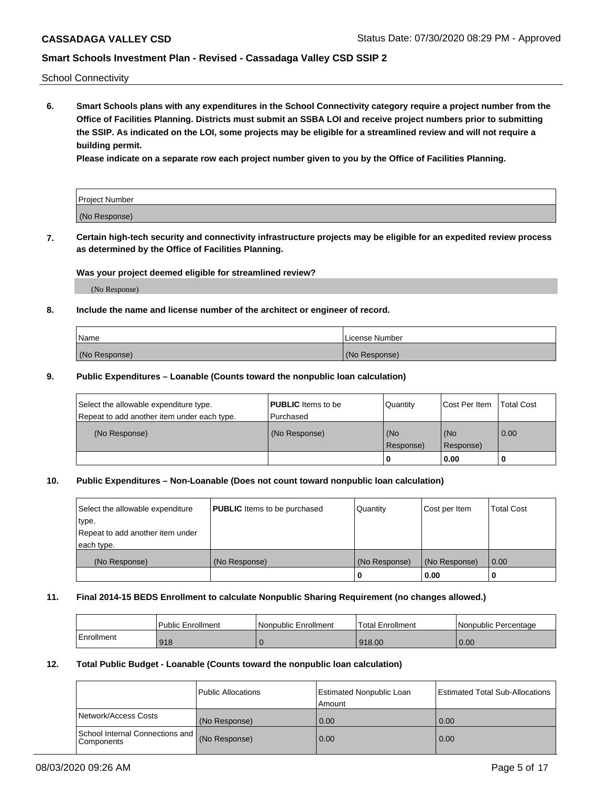School Connectivity

**6. Smart Schools plans with any expenditures in the School Connectivity category require a project number from the Office of Facilities Planning. Districts must submit an SSBA LOI and receive project numbers prior to submitting the SSIP. As indicated on the LOI, some projects may be eligible for a streamlined review and will not require a building permit.**

**Please indicate on a separate row each project number given to you by the Office of Facilities Planning.**

| Project Number |  |
|----------------|--|
| (No Response)  |  |

**7. Certain high-tech security and connectivity infrastructure projects may be eligible for an expedited review process as determined by the Office of Facilities Planning.**

#### **Was your project deemed eligible for streamlined review?**

(No Response)

## **8. Include the name and license number of the architect or engineer of record.**

| Name          | License Number |
|---------------|----------------|
| (No Response) | (No Response)  |

#### **9. Public Expenditures – Loanable (Counts toward the nonpublic loan calculation)**

| Select the allowable expenditure type.<br>Repeat to add another item under each type. | <b>PUBLIC</b> Items to be<br>l Purchased | Quantity           | Cost Per Item    | <b>Total Cost</b> |
|---------------------------------------------------------------------------------------|------------------------------------------|--------------------|------------------|-------------------|
| (No Response)                                                                         | (No Response)                            | l (No<br>Response) | (No<br>Response) | 0.00              |
|                                                                                       |                                          | U                  | 0.00             |                   |

## **10. Public Expenditures – Non-Loanable (Does not count toward nonpublic loan calculation)**

| Select the allowable expenditure<br>type.<br>Repeat to add another item under<br>each type. | <b>PUBLIC</b> Items to be purchased | Quantity      | Cost per Item | <b>Total Cost</b> |
|---------------------------------------------------------------------------------------------|-------------------------------------|---------------|---------------|-------------------|
| (No Response)                                                                               | (No Response)                       | (No Response) | (No Response) | 0.00              |
|                                                                                             |                                     |               | 0.00          |                   |

#### **11. Final 2014-15 BEDS Enrollment to calculate Nonpublic Sharing Requirement (no changes allowed.)**

|            | Public Enrollment | Nonpublic Enrollment | 'Total Enrollment | l Nonpublic Percentage |
|------------|-------------------|----------------------|-------------------|------------------------|
| Enrollment | 918               |                      | 918.00            | 0.00                   |

### **12. Total Public Budget - Loanable (Counts toward the nonpublic loan calculation)**

|                                                      | Public Allocations | <b>Estimated Nonpublic Loan</b><br>Amount | Estimated Total Sub-Allocations |
|------------------------------------------------------|--------------------|-------------------------------------------|---------------------------------|
| Network/Access Costs                                 | (No Response)      | 0.00                                      | 0.00                            |
| School Internal Connections and<br><b>Components</b> | (No Response)      | 0.00                                      | 0.00                            |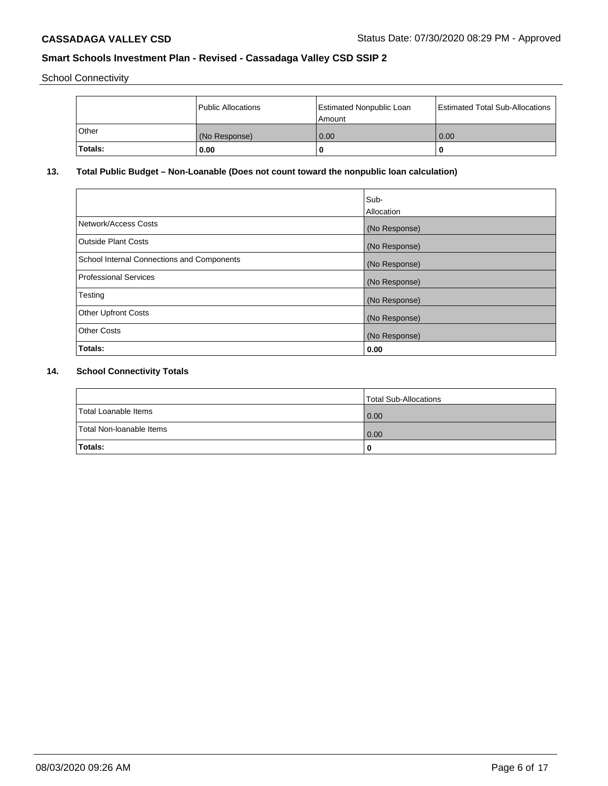School Connectivity

|                | Public Allocations | <b>Estimated Nonpublic Loan</b><br>l Amount | <b>Estimated Total Sub-Allocations</b> |
|----------------|--------------------|---------------------------------------------|----------------------------------------|
| l Other        | (No Response)      | 0.00                                        | 0.00                                   |
| <b>Totals:</b> | 0.00               | 0                                           |                                        |

## **13. Total Public Budget – Non-Loanable (Does not count toward the nonpublic loan calculation)**

| Sub-<br>Allocation |
|--------------------|
| (No Response)      |
| (No Response)      |
| (No Response)      |
| (No Response)      |
| (No Response)      |
| (No Response)      |
| (No Response)      |
| 0.00               |
|                    |

# **14. School Connectivity Totals**

|                          | Total Sub-Allocations |
|--------------------------|-----------------------|
| Total Loanable Items     | 0.00                  |
| Total Non-Ioanable Items | 0.00                  |
| Totals:                  | 0                     |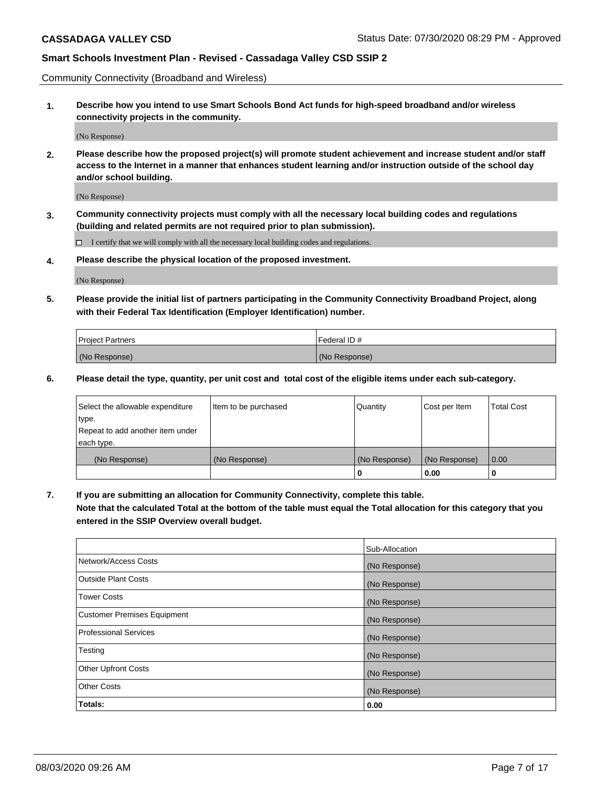Community Connectivity (Broadband and Wireless)

**1. Describe how you intend to use Smart Schools Bond Act funds for high-speed broadband and/or wireless connectivity projects in the community.**

(No Response)

**2. Please describe how the proposed project(s) will promote student achievement and increase student and/or staff access to the Internet in a manner that enhances student learning and/or instruction outside of the school day and/or school building.**

(No Response)

**3. Community connectivity projects must comply with all the necessary local building codes and regulations (building and related permits are not required prior to plan submission).**

 $\Box$  I certify that we will comply with all the necessary local building codes and regulations.

**4. Please describe the physical location of the proposed investment.**

(No Response)

**5. Please provide the initial list of partners participating in the Community Connectivity Broadband Project, along with their Federal Tax Identification (Employer Identification) number.**

| <b>Project Partners</b> | l Federal ID # |
|-------------------------|----------------|
| (No Response)           | (No Response)  |

**6. Please detail the type, quantity, per unit cost and total cost of the eligible items under each sub-category.**

| Select the allowable expenditure | Item to be purchased | Quantity      | Cost per Item | <b>Total Cost</b> |
|----------------------------------|----------------------|---------------|---------------|-------------------|
| type.                            |                      |               |               |                   |
| Repeat to add another item under |                      |               |               |                   |
| each type.                       |                      |               |               |                   |
| (No Response)                    | (No Response)        | (No Response) | (No Response) | 0.00              |
|                                  |                      | o             | 0.00          |                   |

**7. If you are submitting an allocation for Community Connectivity, complete this table.**

**Note that the calculated Total at the bottom of the table must equal the Total allocation for this category that you entered in the SSIP Overview overall budget.**

|                                    | Sub-Allocation |
|------------------------------------|----------------|
| Network/Access Costs               | (No Response)  |
| Outside Plant Costs                | (No Response)  |
| <b>Tower Costs</b>                 | (No Response)  |
| <b>Customer Premises Equipment</b> | (No Response)  |
| <b>Professional Services</b>       | (No Response)  |
| Testing                            | (No Response)  |
| <b>Other Upfront Costs</b>         | (No Response)  |
| <b>Other Costs</b>                 | (No Response)  |
| Totals:                            | 0.00           |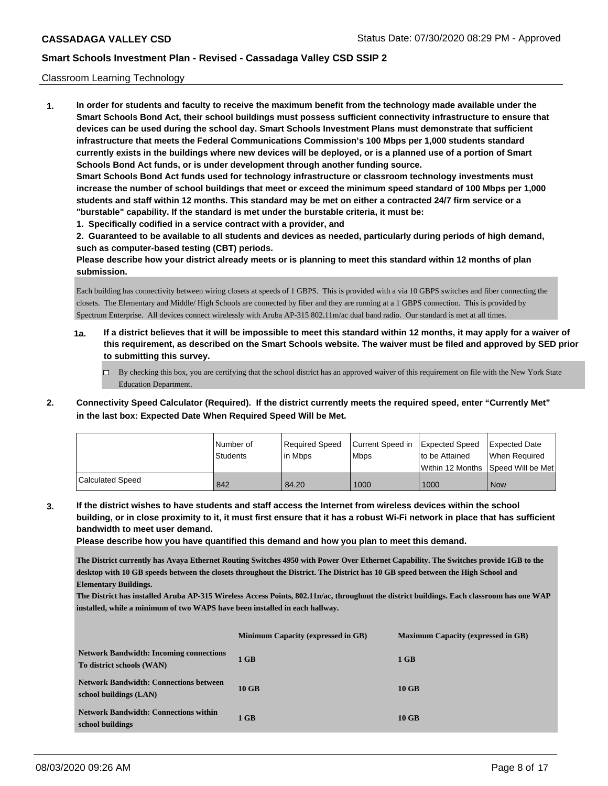### Classroom Learning Technology

**1. In order for students and faculty to receive the maximum benefit from the technology made available under the Smart Schools Bond Act, their school buildings must possess sufficient connectivity infrastructure to ensure that devices can be used during the school day. Smart Schools Investment Plans must demonstrate that sufficient infrastructure that meets the Federal Communications Commission's 100 Mbps per 1,000 students standard currently exists in the buildings where new devices will be deployed, or is a planned use of a portion of Smart Schools Bond Act funds, or is under development through another funding source. Smart Schools Bond Act funds used for technology infrastructure or classroom technology investments must increase the number of school buildings that meet or exceed the minimum speed standard of 100 Mbps per 1,000 students and staff within 12 months. This standard may be met on either a contracted 24/7 firm service or a "burstable" capability. If the standard is met under the burstable criteria, it must be:**

**1. Specifically codified in a service contract with a provider, and**

**2. Guaranteed to be available to all students and devices as needed, particularly during periods of high demand, such as computer-based testing (CBT) periods.**

**Please describe how your district already meets or is planning to meet this standard within 12 months of plan submission.**

Each building has connectivity between wiring closets at speeds of 1 GBPS. This is provided with a via 10 GBPS switches and fiber connecting the closets. The Elementary and Middle/ High Schools are connected by fiber and they are running at a 1 GBPS connection. This is provided by Spectrum Enterprise. All devices connect wirelessly with Aruba AP-315 802.11m/ac dual band radio. Our standard is met at all times.

- **1a. If a district believes that it will be impossible to meet this standard within 12 months, it may apply for a waiver of this requirement, as described on the Smart Schools website. The waiver must be filed and approved by SED prior to submitting this survey.**
	- $\Box$  By checking this box, you are certifying that the school district has an approved waiver of this requirement on file with the New York State Education Department.
- **2. Connectivity Speed Calculator (Required). If the district currently meets the required speed, enter "Currently Met" in the last box: Expected Date When Required Speed Will be Met.**

|                  | l Number of | Required Speed | Current Speed in | <b>Expected Speed</b> | Expected Date     |
|------------------|-------------|----------------|------------------|-----------------------|-------------------|
|                  | Students    | lin Mbps       | <b>Mbps</b>      | to be Attained        | When Reauired     |
|                  |             |                |                  | l Within 12 Months    | Speed Will be Met |
| Calculated Speed | 842         | 84.20          | 1000             | 1000                  | <b>Now</b>        |

**3. If the district wishes to have students and staff access the Internet from wireless devices within the school building, or in close proximity to it, it must first ensure that it has a robust Wi-Fi network in place that has sufficient bandwidth to meet user demand.**

**Please describe how you have quantified this demand and how you plan to meet this demand.**

**The District currently has Avaya Ethernet Routing Switches 4950 with Power Over Ethernet Capability. The Switches provide 1GB to the desktop with 10 GB speeds between the closets throughout the District. The District has 10 GB speed between the High School and Elementary Buildings.** 

**The District has installed Aruba AP-315 Wireless Access Points, 802.11n/ac, throughout the district buildings. Each classroom has one WAP installed, while a minimum of two WAPS have been installed in each hallway.**

|                                                                             | Minimum Capacity (expressed in GB) | <b>Maximum Capacity (expressed in GB)</b> |
|-----------------------------------------------------------------------------|------------------------------------|-------------------------------------------|
| <b>Network Bandwidth: Incoming connections</b><br>To district schools (WAN) | 1 GB                               | $1$ GB                                    |
| <b>Network Bandwidth: Connections between</b><br>school buildings (LAN)     | $10$ GB                            | $10$ GB                                   |
| <b>Network Bandwidth: Connections within</b><br>school buildings            | $1$ GB                             | $10$ GB                                   |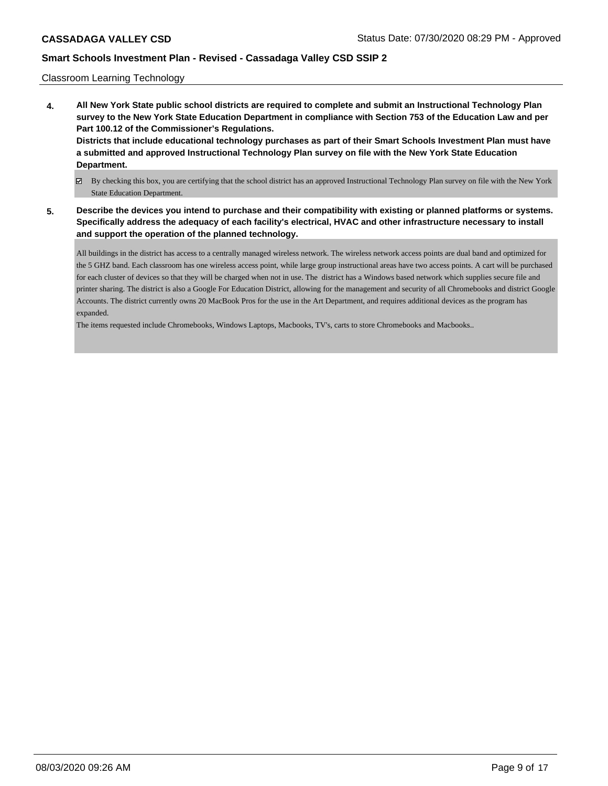## Classroom Learning Technology

- **4. All New York State public school districts are required to complete and submit an Instructional Technology Plan survey to the New York State Education Department in compliance with Section 753 of the Education Law and per Part 100.12 of the Commissioner's Regulations. Districts that include educational technology purchases as part of their Smart Schools Investment Plan must have a submitted and approved Instructional Technology Plan survey on file with the New York State Education Department.**
	- By checking this box, you are certifying that the school district has an approved Instructional Technology Plan survey on file with the New York State Education Department.
- **5. Describe the devices you intend to purchase and their compatibility with existing or planned platforms or systems. Specifically address the adequacy of each facility's electrical, HVAC and other infrastructure necessary to install and support the operation of the planned technology.**

All buildings in the district has access to a centrally managed wireless network. The wireless network access points are dual band and optimized for the 5 GHZ band. Each classroom has one wireless access point, while large group instructional areas have two access points. A cart will be purchased for each cluster of devices so that they will be charged when not in use. The district has a Windows based network which supplies secure file and printer sharing. The district is also a Google For Education District, allowing for the management and security of all Chromebooks and district Google Accounts. The district currently owns 20 MacBook Pros for the use in the Art Department, and requires additional devices as the program has expanded.

The items requested include Chromebooks, Windows Laptops, Macbooks, TV's, carts to store Chromebooks and Macbooks..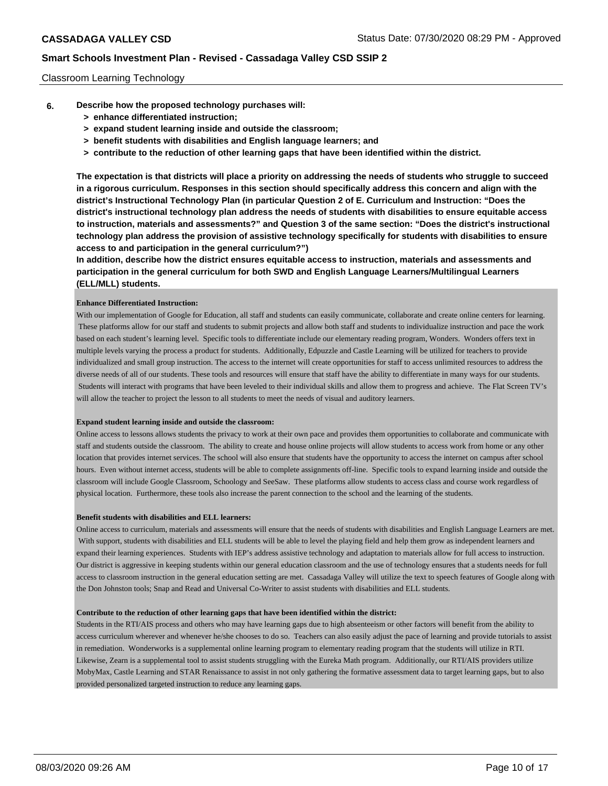## Classroom Learning Technology

- **6. Describe how the proposed technology purchases will:**
	- **> enhance differentiated instruction;**
	- **> expand student learning inside and outside the classroom;**
	- **> benefit students with disabilities and English language learners; and**
	- **> contribute to the reduction of other learning gaps that have been identified within the district.**

**The expectation is that districts will place a priority on addressing the needs of students who struggle to succeed in a rigorous curriculum. Responses in this section should specifically address this concern and align with the district's Instructional Technology Plan (in particular Question 2 of E. Curriculum and Instruction: "Does the district's instructional technology plan address the needs of students with disabilities to ensure equitable access to instruction, materials and assessments?" and Question 3 of the same section: "Does the district's instructional technology plan address the provision of assistive technology specifically for students with disabilities to ensure access to and participation in the general curriculum?")**

**In addition, describe how the district ensures equitable access to instruction, materials and assessments and participation in the general curriculum for both SWD and English Language Learners/Multilingual Learners (ELL/MLL) students.**

#### **Enhance Differentiated Instruction:**

With our implementation of Google for Education, all staff and students can easily communicate, collaborate and create online centers for learning. These platforms allow for our staff and students to submit projects and allow both staff and students to individualize instruction and pace the work based on each student's learning level. Specific tools to differentiate include our elementary reading program, Wonders. Wonders offers text in multiple levels varying the process a product for students. Additionally, Edpuzzle and Castle Learning will be utilized for teachers to provide individualized and small group instruction. The access to the internet will create opportunities for staff to access unlimited resources to address the diverse needs of all of our students. These tools and resources will ensure that staff have the ability to differentiate in many ways for our students. Students will interact with programs that have been leveled to their individual skills and allow them to progress and achieve. The Flat Screen TV's will allow the teacher to project the lesson to all students to meet the needs of visual and auditory learners.

#### **Expand student learning inside and outside the classroom:**

Online access to lessons allows students the privacy to work at their own pace and provides them opportunities to collaborate and communicate with staff and students outside the classroom. The ability to create and house online projects will allow students to access work from home or any other location that provides internet services. The school will also ensure that students have the opportunity to access the internet on campus after school hours. Even without internet access, students will be able to complete assignments off-line. Specific tools to expand learning inside and outside the classroom will include Google Classroom, Schoology and SeeSaw. These platforms allow students to access class and course work regardless of physical location. Furthermore, these tools also increase the parent connection to the school and the learning of the students.

#### **Benefit students with disabilities and ELL learners:**

Online access to curriculum, materials and assessments will ensure that the needs of students with disabilities and English Language Learners are met. With support, students with disabilities and ELL students will be able to level the playing field and help them grow as independent learners and expand their learning experiences. Students with IEP's address assistive technology and adaptation to materials allow for full access to instruction. Our district is aggressive in keeping students within our general education classroom and the use of technology ensures that a students needs for full access to classroom instruction in the general education setting are met. Cassadaga Valley will utilize the text to speech features of Google along with the Don Johnston tools; Snap and Read and Universal Co-Writer to assist students with disabilities and ELL students.

#### **Contribute to the reduction of other learning gaps that have been identified within the district:**

Students in the RTI/AIS process and others who may have learning gaps due to high absenteeism or other factors will benefit from the ability to access curriculum wherever and whenever he/she chooses to do so. Teachers can also easily adjust the pace of learning and provide tutorials to assist in remediation. Wonderworks is a supplemental online learning program to elementary reading program that the students will utilize in RTI. Likewise, Zearn is a supplemental tool to assist students struggling with the Eureka Math program. Additionally, our RTI/AIS providers utilize MobyMax, Castle Learning and STAR Renaissance to assist in not only gathering the formative assessment data to target learning gaps, but to also provided personalized targeted instruction to reduce any learning gaps.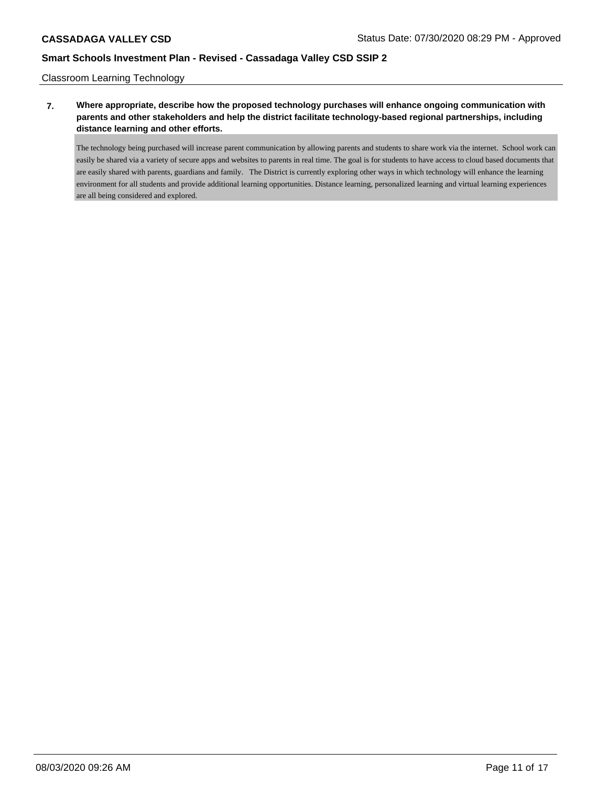Classroom Learning Technology

## **7. Where appropriate, describe how the proposed technology purchases will enhance ongoing communication with parents and other stakeholders and help the district facilitate technology-based regional partnerships, including distance learning and other efforts.**

The technology being purchased will increase parent communication by allowing parents and students to share work via the internet. School work can easily be shared via a variety of secure apps and websites to parents in real time. The goal is for students to have access to cloud based documents that are easily shared with parents, guardians and family. The District is currently exploring other ways in which technology will enhance the learning environment for all students and provide additional learning opportunities. Distance learning, personalized learning and virtual learning experiences are all being considered and explored.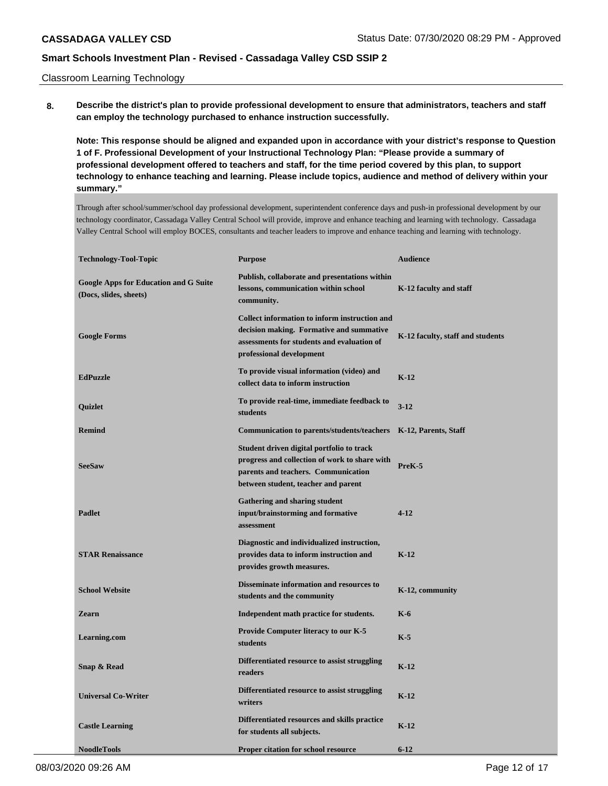Classroom Learning Technology

**8. Describe the district's plan to provide professional development to ensure that administrators, teachers and staff can employ the technology purchased to enhance instruction successfully.**

**Note: This response should be aligned and expanded upon in accordance with your district's response to Question 1 of F. Professional Development of your Instructional Technology Plan: "Please provide a summary of professional development offered to teachers and staff, for the time period covered by this plan, to support technology to enhance teaching and learning. Please include topics, audience and method of delivery within your summary."**

Through after school/summer/school day professional development, superintendent conference days and push-in professional development by our technology coordinator, Cassadaga Valley Central School will provide, improve and enhance teaching and learning with technology. Cassadaga Valley Central School will employ BOCES, consultants and teacher leaders to improve and enhance teaching and learning with technology.

| <b>Technology-Tool-Topic</b>                                           | <b>Purpose</b>                                                                                                                                                           | <b>Audience</b>                  |
|------------------------------------------------------------------------|--------------------------------------------------------------------------------------------------------------------------------------------------------------------------|----------------------------------|
| <b>Google Apps for Education and G Suite</b><br>(Docs, slides, sheets) | Publish, collaborate and presentations within<br>lessons, communication within school<br>community.                                                                      | K-12 faculty and staff           |
| <b>Google Forms</b>                                                    | Collect information to inform instruction and<br>decision making. Formative and summative<br>assessments for students and evaluation of<br>professional development      | K-12 faculty, staff and students |
| <b>EdPuzzle</b>                                                        | To provide visual information (video) and<br>collect data to inform instruction                                                                                          | $K-12$                           |
| Quizlet                                                                | To provide real-time, immediate feedback to<br>students                                                                                                                  | $3 - 12$                         |
| <b>Remind</b>                                                          | Communication to parents/students/teachers                                                                                                                               | K-12, Parents, Staff             |
| <b>SeeSaw</b>                                                          | Student driven digital portfolio to track<br>progress and collection of work to share with<br>parents and teachers. Communication<br>between student, teacher and parent | PreK-5                           |
| <b>Padlet</b>                                                          | Gathering and sharing student<br>input/brainstorming and formative<br>assessment                                                                                         | $4 - 12$                         |
| <b>STAR Renaissance</b>                                                | Diagnostic and individualized instruction,<br>provides data to inform instruction and<br>provides growth measures.                                                       | $K-12$                           |
| <b>School Website</b>                                                  | Disseminate information and resources to<br>students and the community                                                                                                   | K-12, community                  |
| <b>Zearn</b>                                                           | Independent math practice for students.                                                                                                                                  | $K-6$                            |
| Learning.com                                                           | <b>Provide Computer literacy to our K-5</b><br>students                                                                                                                  | $K-5$                            |
| Snap & Read                                                            | Differentiated resource to assist struggling<br>readers                                                                                                                  | $K-12$                           |
| <b>Universal Co-Writer</b>                                             | Differentiated resource to assist struggling<br>writers                                                                                                                  | $K-12$                           |
| <b>Castle Learning</b>                                                 | Differentiated resources and skills practice<br>for students all subjects.                                                                                               | $K-12$                           |
| <b>NoodleTools</b>                                                     | <b>Proper citation for school resource</b>                                                                                                                               | $6 - 12$                         |

08/03/2020 09:26 AM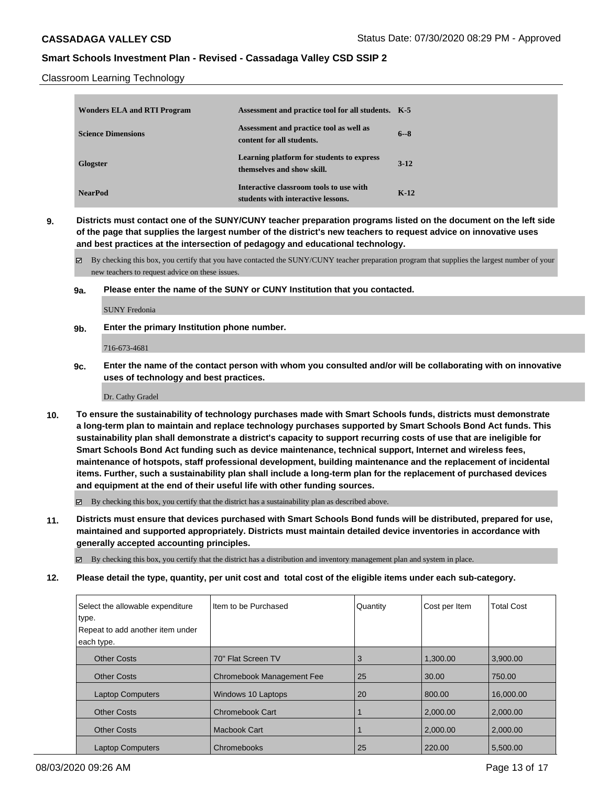Classroom Learning Technology

| <b>Wonders ELA and RTI Program</b> | Assessment and practice tool for all students. K-5                            |         |
|------------------------------------|-------------------------------------------------------------------------------|---------|
| <b>Science Dimensions</b>          | Assessment and practice tool as well as<br>content for all students.          | $6 - 8$ |
| <b>Glogster</b>                    | Learning platform for students to express<br>themselves and show skill.       | $3-12$  |
| <b>NearPod</b>                     | Interactive classroom tools to use with<br>students with interactive lessons. | $K-12$  |

**9. Districts must contact one of the SUNY/CUNY teacher preparation programs listed on the document on the left side of the page that supplies the largest number of the district's new teachers to request advice on innovative uses and best practices at the intersection of pedagogy and educational technology.**

 $\boxtimes$  By checking this box, you certify that you have contacted the SUNY/CUNY teacher preparation program that supplies the largest number of your new teachers to request advice on these issues.

**9a. Please enter the name of the SUNY or CUNY Institution that you contacted.**

SUNY Fredonia

**9b. Enter the primary Institution phone number.**

716-673-4681

**9c. Enter the name of the contact person with whom you consulted and/or will be collaborating with on innovative uses of technology and best practices.**

Dr. Cathy Gradel

**10. To ensure the sustainability of technology purchases made with Smart Schools funds, districts must demonstrate a long-term plan to maintain and replace technology purchases supported by Smart Schools Bond Act funds. This sustainability plan shall demonstrate a district's capacity to support recurring costs of use that are ineligible for Smart Schools Bond Act funding such as device maintenance, technical support, Internet and wireless fees, maintenance of hotspots, staff professional development, building maintenance and the replacement of incidental items. Further, such a sustainability plan shall include a long-term plan for the replacement of purchased devices and equipment at the end of their useful life with other funding sources.**

By checking this box, you certify that the district has a sustainability plan as described above.

**11. Districts must ensure that devices purchased with Smart Schools Bond funds will be distributed, prepared for use, maintained and supported appropriately. Districts must maintain detailed device inventories in accordance with generally accepted accounting principles.**

By checking this box, you certify that the district has a distribution and inventory management plan and system in place.

**12. Please detail the type, quantity, per unit cost and total cost of the eligible items under each sub-category.**

| Select the allowable expenditure<br>type. | Item to be Purchased             | Quantity | Cost per Item | <b>Total Cost</b> |
|-------------------------------------------|----------------------------------|----------|---------------|-------------------|
| Repeat to add another item under          |                                  |          |               |                   |
| each type.                                |                                  |          |               |                   |
| <b>Other Costs</b>                        | 70" Flat Screen TV               | 3        | 1,300.00      | 3,900.00          |
| <b>Other Costs</b>                        | <b>Chromebook Management Fee</b> | 25       | 30.00         | 750.00            |
| <b>Laptop Computers</b>                   | Windows 10 Laptops               | 20       | 800.00        | 16,000.00         |
| <b>Other Costs</b>                        | Chromebook Cart                  |          | 2,000.00      | 2,000.00          |
| <b>Other Costs</b>                        | Macbook Cart                     |          | 2.000.00      | 2.000.00          |
| <b>Laptop Computers</b>                   | Chromebooks                      | 25       | 220.00        | 5,500.00          |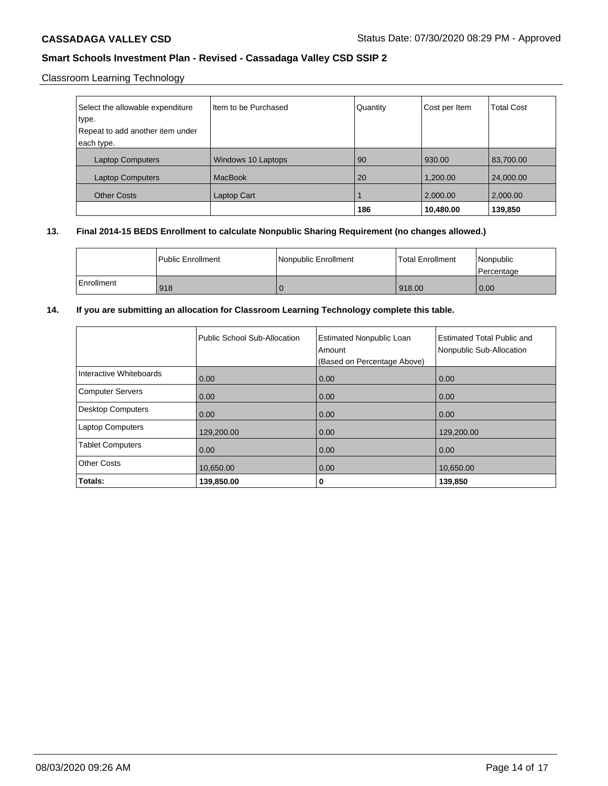# Classroom Learning Technology

| Select the allowable expenditure<br>type.<br>Repeat to add another item under | Iltem to be Purchased | Quantity | Cost per Item | <b>Total Cost</b> |
|-------------------------------------------------------------------------------|-----------------------|----------|---------------|-------------------|
| each type.                                                                    |                       |          |               |                   |
| <b>Laptop Computers</b>                                                       | Windows 10 Laptops    | 90       | 930.00        | 83,700.00         |
| <b>Laptop Computers</b>                                                       | <b>MacBook</b>        | 20       | 1,200.00      | 24,000.00         |
| <b>Other Costs</b>                                                            | Laptop Cart           |          | 2,000.00      | 2,000.00          |
|                                                                               |                       | 186      | 10,480.00     | 139,850           |

## **13. Final 2014-15 BEDS Enrollment to calculate Nonpublic Sharing Requirement (no changes allowed.)**

|            | l Public Enrollment | Nonpublic Enrollment | l Total Enrollment | Nonpublic<br>Percentage |
|------------|---------------------|----------------------|--------------------|-------------------------|
| Enrollment | 918                 |                      | 918.00             | 0.00                    |

## **14. If you are submitting an allocation for Classroom Learning Technology complete this table.**

|                          | Public School Sub-Allocation | <b>Estimated Nonpublic Loan</b><br>Amount<br>(Based on Percentage Above) | <b>Estimated Total Public and</b><br>Nonpublic Sub-Allocation |
|--------------------------|------------------------------|--------------------------------------------------------------------------|---------------------------------------------------------------|
| Interactive Whiteboards  | 0.00                         | 0.00                                                                     | 0.00                                                          |
| Computer Servers         | 0.00                         | 0.00                                                                     | 0.00                                                          |
| <b>Desktop Computers</b> | 0.00                         | 0.00                                                                     | 0.00                                                          |
| <b>Laptop Computers</b>  | 129,200.00                   | 0.00                                                                     | 129,200.00                                                    |
| <b>Tablet Computers</b>  | 0.00                         | 0.00                                                                     | 0.00                                                          |
| <b>Other Costs</b>       | 10,650.00                    | 0.00                                                                     | 10.650.00                                                     |
| Totals:                  | 139,850.00                   | 0                                                                        | 139,850                                                       |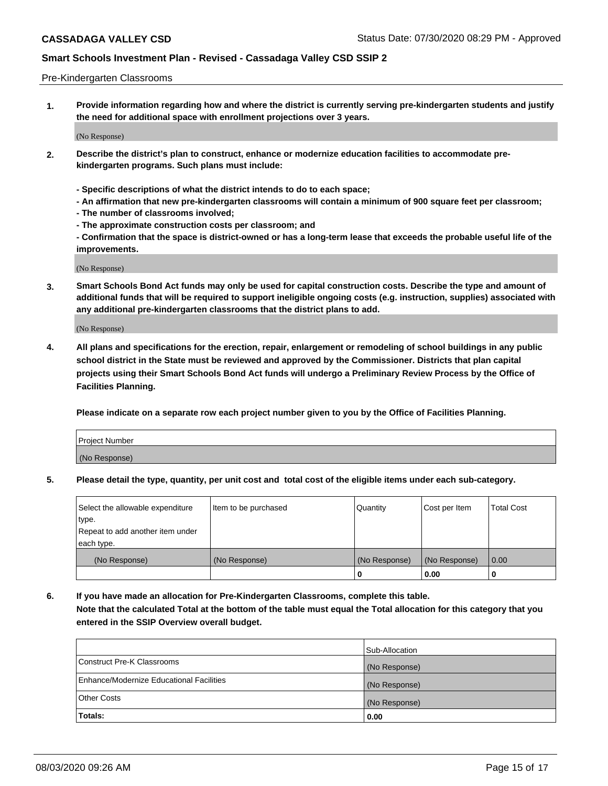#### Pre-Kindergarten Classrooms

**1. Provide information regarding how and where the district is currently serving pre-kindergarten students and justify the need for additional space with enrollment projections over 3 years.**

(No Response)

- **2. Describe the district's plan to construct, enhance or modernize education facilities to accommodate prekindergarten programs. Such plans must include:**
	- **Specific descriptions of what the district intends to do to each space;**
	- **An affirmation that new pre-kindergarten classrooms will contain a minimum of 900 square feet per classroom;**
	- **The number of classrooms involved;**
	- **The approximate construction costs per classroom; and**
	- **Confirmation that the space is district-owned or has a long-term lease that exceeds the probable useful life of the improvements.**

(No Response)

**3. Smart Schools Bond Act funds may only be used for capital construction costs. Describe the type and amount of additional funds that will be required to support ineligible ongoing costs (e.g. instruction, supplies) associated with any additional pre-kindergarten classrooms that the district plans to add.**

(No Response)

**4. All plans and specifications for the erection, repair, enlargement or remodeling of school buildings in any public school district in the State must be reviewed and approved by the Commissioner. Districts that plan capital projects using their Smart Schools Bond Act funds will undergo a Preliminary Review Process by the Office of Facilities Planning.**

**Please indicate on a separate row each project number given to you by the Office of Facilities Planning.**

| Project Number |  |
|----------------|--|
| (No Response)  |  |
|                |  |

**5. Please detail the type, quantity, per unit cost and total cost of the eligible items under each sub-category.**

| Select the allowable expenditure | Item to be purchased | Quantity      | Cost per Item | <b>Total Cost</b> |
|----------------------------------|----------------------|---------------|---------------|-------------------|
| type.                            |                      |               |               |                   |
| Repeat to add another item under |                      |               |               |                   |
| each type.                       |                      |               |               |                   |
| (No Response)                    | (No Response)        | (No Response) | (No Response) | 0.00              |
|                                  |                      | U             | 0.00          |                   |

**6. If you have made an allocation for Pre-Kindergarten Classrooms, complete this table. Note that the calculated Total at the bottom of the table must equal the Total allocation for this category that you entered in the SSIP Overview overall budget.**

| Totals:                                  | 0.00           |
|------------------------------------------|----------------|
| <b>Other Costs</b>                       | (No Response)  |
| Enhance/Modernize Educational Facilities | (No Response)  |
| Construct Pre-K Classrooms               | (No Response)  |
|                                          | Sub-Allocation |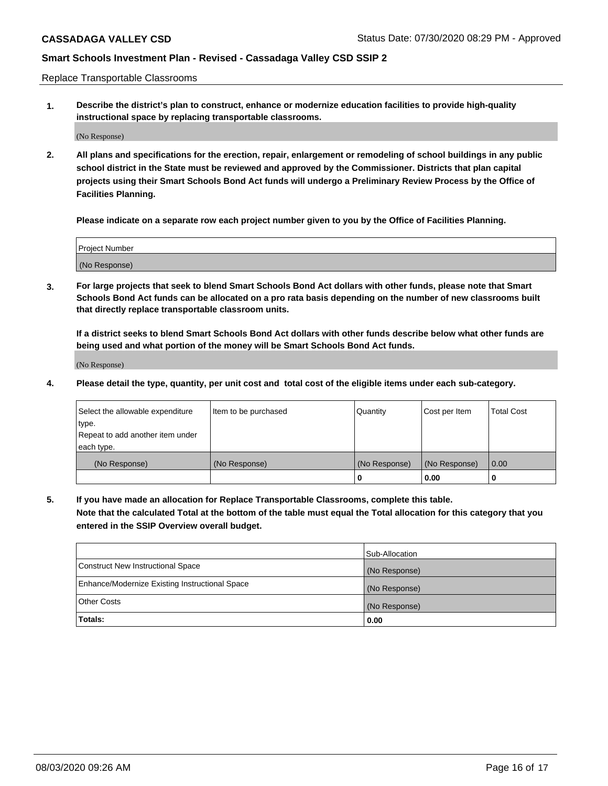Replace Transportable Classrooms

**1. Describe the district's plan to construct, enhance or modernize education facilities to provide high-quality instructional space by replacing transportable classrooms.**

(No Response)

**2. All plans and specifications for the erection, repair, enlargement or remodeling of school buildings in any public school district in the State must be reviewed and approved by the Commissioner. Districts that plan capital projects using their Smart Schools Bond Act funds will undergo a Preliminary Review Process by the Office of Facilities Planning.**

**Please indicate on a separate row each project number given to you by the Office of Facilities Planning.**

| Project Number |  |
|----------------|--|
|                |  |
|                |  |
|                |  |
|                |  |
| (No Response)  |  |
|                |  |
|                |  |
|                |  |

**3. For large projects that seek to blend Smart Schools Bond Act dollars with other funds, please note that Smart Schools Bond Act funds can be allocated on a pro rata basis depending on the number of new classrooms built that directly replace transportable classroom units.**

**If a district seeks to blend Smart Schools Bond Act dollars with other funds describe below what other funds are being used and what portion of the money will be Smart Schools Bond Act funds.**

(No Response)

**4. Please detail the type, quantity, per unit cost and total cost of the eligible items under each sub-category.**

| Select the allowable expenditure | Item to be purchased | Quantity      | Cost per Item | Total Cost |
|----------------------------------|----------------------|---------------|---------------|------------|
| ∣type.                           |                      |               |               |            |
| Repeat to add another item under |                      |               |               |            |
| each type.                       |                      |               |               |            |
| (No Response)                    | (No Response)        | (No Response) | (No Response) | 0.00       |
|                                  |                      | u             | 0.00          |            |

**5. If you have made an allocation for Replace Transportable Classrooms, complete this table. Note that the calculated Total at the bottom of the table must equal the Total allocation for this category that you entered in the SSIP Overview overall budget.**

|                                                | Sub-Allocation |
|------------------------------------------------|----------------|
| Construct New Instructional Space              | (No Response)  |
| Enhance/Modernize Existing Instructional Space | (No Response)  |
| <b>Other Costs</b>                             | (No Response)  |
| Totals:                                        | 0.00           |